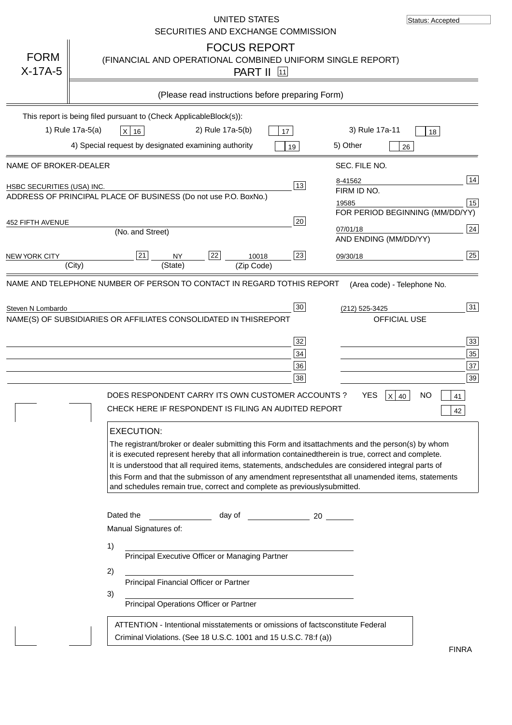|                                   | UNITED STATES<br>SECURITIES AND EXCHANGE COMMISSION                                                                                                                                                                                                                                                                                                                                                                                                                                                               | Status: Accepted                                                                                                                                                                                                           |
|-----------------------------------|-------------------------------------------------------------------------------------------------------------------------------------------------------------------------------------------------------------------------------------------------------------------------------------------------------------------------------------------------------------------------------------------------------------------------------------------------------------------------------------------------------------------|----------------------------------------------------------------------------------------------------------------------------------------------------------------------------------------------------------------------------|
| <b>FORM</b><br>$X-17A-5$          | <b>FOCUS REPORT</b><br>(FINANCIAL AND OPERATIONAL COMBINED UNIFORM SINGLE REPORT)<br><b>PART II</b> 11                                                                                                                                                                                                                                                                                                                                                                                                            |                                                                                                                                                                                                                            |
|                                   | (Please read instructions before preparing Form)                                                                                                                                                                                                                                                                                                                                                                                                                                                                  |                                                                                                                                                                                                                            |
|                                   | This report is being filed pursuant to (Check Applicable<br>$Block(s)$ :<br>1) Rule 17a-5(a)<br>2) Rule 17a-5(b)<br>3) Rule 17a-11<br>X 16<br>17<br>4) Special request by designated examining authority<br>5) Other<br>19                                                                                                                                                                                                                                                                                        | 18<br>26                                                                                                                                                                                                                   |
| NAME OF BROKER-DEALER             | SEC. FILE NO.                                                                                                                                                                                                                                                                                                                                                                                                                                                                                                     |                                                                                                                                                                                                                            |
| <b>HSBC SECURITIES (USA) INC.</b> | 8-41562<br>13<br>FIRM ID NO.<br>ADDRESS OF PRINCIPAL PLACE OF BUSINESS (Do not use P.O. Box<br>No.)<br>19585                                                                                                                                                                                                                                                                                                                                                                                                      | 14<br>15<br>FOR PERIOD BEGINNING (MM/DD/YY)                                                                                                                                                                                |
| 452 FIFTH AVENUE                  | 20<br>07/01/18<br>(No. and Street)                                                                                                                                                                                                                                                                                                                                                                                                                                                                                | 24<br>AND ENDING (MM/DD/YY)                                                                                                                                                                                                |
| <b>NEW YORK CITY</b>              | 22<br>23<br>21<br><b>NY</b><br>10018<br>09/30/18<br>(State)<br>(City)<br>(Zip Code)                                                                                                                                                                                                                                                                                                                                                                                                                               | 25                                                                                                                                                                                                                         |
|                                   | 32<br>34<br>36<br>38<br><b>YES</b><br>DOES RESPONDENT CARRY ITS OWN CUSTOMER ACCOUNTS?<br>CHECK HERE IF RESPONDENT IS FILING AN AUDITED REPORT<br><b>EXECUTION:</b><br>The registrant/broker or dealer submitting this Form and its<br>it is executed represent hereby that all information contained<br>It is understood that all required items, statements, and<br>this Form and that the submisson of any amendment represents<br>and schedules remain true, correct and complete as previously<br>submitted. | 33<br>35<br>37<br>39<br>$X$ 40<br>NO.<br>41<br>42<br>attachments and the person(s) by whom<br>therein is true, correct and complete.<br>schedules are considered integral parts of<br>that all unamended items, statements |
|                                   | Dated the<br>day of<br>Manual Signatures of:<br>1)<br>Principal Executive Officer or Managing Partner<br>2)<br>Principal Financial Officer or Partner<br>3)<br>Principal Operations Officer or Partner                                                                                                                                                                                                                                                                                                            |                                                                                                                                                                                                                            |
|                                   | ATTENTION - Intentional misstatements or omissions of facts<br>constitute Federal<br>Criminal Violations. (See 18 U.S.C. 1001 and 15 U.S.C. 78:f (a)<br>$\rightarrow$                                                                                                                                                                                                                                                                                                                                             | <b>FINRA</b>                                                                                                                                                                                                               |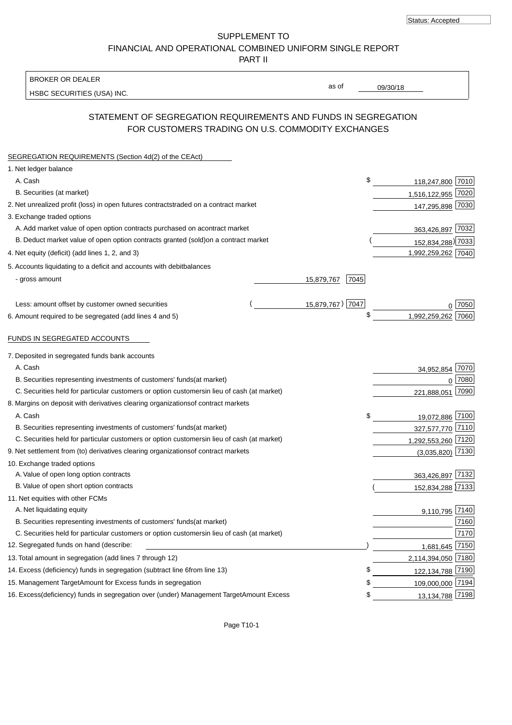Status: Accepted

SUPPLEMENT TO FINANCIAL AND OPERATIONAL COMBINED UNIFORM SINGLE REPORT PART II

BROKER OR DEALER

HSBC SECURITIES (USA) INC.

09/30/18

as of

# STATEMENT OF SEGREGATION REQUIREMENTS AND FUNDS IN SEGREGATION FOR CUSTOMERS TRADING ON U.S. COMMODITY EXCHANGES

| SEGREGATION REQUIREMENTS (Section 4d(2) of the CEAct)                                          |      |                     |
|------------------------------------------------------------------------------------------------|------|---------------------|
| 1. Net ledger balance                                                                          |      |                     |
| A. Cash                                                                                        | \$   | 118,247,800 7010    |
| B. Securities (at market)                                                                      |      | 1,516,122,955 7020  |
| 2. Net unrealized profit (loss) in open futures contracts<br>traded on a contract market       |      | 147,295,898 7030    |
| 3. Exchange traded options                                                                     |      |                     |
| A. Add market value of open option contracts purchased on a<br>contract market                 |      | 363,426,897 7032    |
| B. Deduct market value of open option contracts granted (sold)<br>on a contract market         |      | 152,834,288) 7033   |
| 4. Net equity (deficit) (add lines 1, 2, and 3)                                                |      | 1,992,259,262 7040  |
| 5. Accounts liquidating to a deficit and accounts with debit<br>balances                       |      |                     |
| - gross amount<br>15,879,767                                                                   | 7045 |                     |
|                                                                                                |      |                     |
| 15,879,767) 7047<br>Less: amount offset by customer owned securities                           |      | 7050                |
| 6. Amount required to be segregated (add lines 4 and 5)                                        | \$   | 1,992,259,262 7060  |
|                                                                                                |      |                     |
| FUNDS IN SEGREGATED ACCOUNTS                                                                   |      |                     |
| 7. Deposited in segregated funds bank accounts                                                 |      |                     |
| A. Cash                                                                                        |      | 7070<br>34,952,854  |
| B. Securities representing investments of customers' funds<br>(at market)                      |      | 0 7080              |
| C. Securities held for particular customers or option customers<br>in lieu of cash (at market) |      | 221,888,051 7090    |
| 8. Margins on deposit with derivatives clearing organizations<br>of contract markets           |      |                     |
| A. Cash                                                                                        | \$   | 19,072,886 7100     |
| B. Securities representing investments of customers' funds<br>(at market)                      |      | 327,577,770 7110    |
| C. Securities held for particular customers or option customers<br>in lieu of cash (at market) |      | 1,292,553,260 7120  |
| 9. Net settlement from (to) derivatives clearing organizations<br>of contract markets          |      | 7130<br>(3,035,820) |
| 10. Exchange traded options                                                                    |      |                     |
| A. Value of open long option contracts                                                         |      | 363,426,897 7132    |
| B. Value of open short option contracts                                                        |      | 152,834,288 7133    |
| 11. Net equities with other FCMs                                                               |      |                     |
| A. Net liquidating equity                                                                      |      | 9,110,795 7140      |
| B. Securities representing investments of customers' funds<br>(at market)                      |      | 7160                |
| C. Securities held for particular customers or option customers<br>in lieu of cash (at market) |      | 7170                |
| 12. Segregated funds on hand (describe:                                                        |      | 7150<br>1,681,645   |
| 13. Total amount in segregation (add lines 7 through 12)                                       |      | 2,114,394,050 7180  |
| 14. Excess (deficiency) funds in segregation (subtract line 6<br>from line 13)                 | S    | 122, 134, 788 7190  |
| 15. Management Target Amount for Excess funds in segregation                                   | \$   | 109,000,000 7194    |
| 16. Excess<br>(deficiency) funds in segregation over (under) Management Target Amount Excess   | \$   | 13, 134, 788 7198   |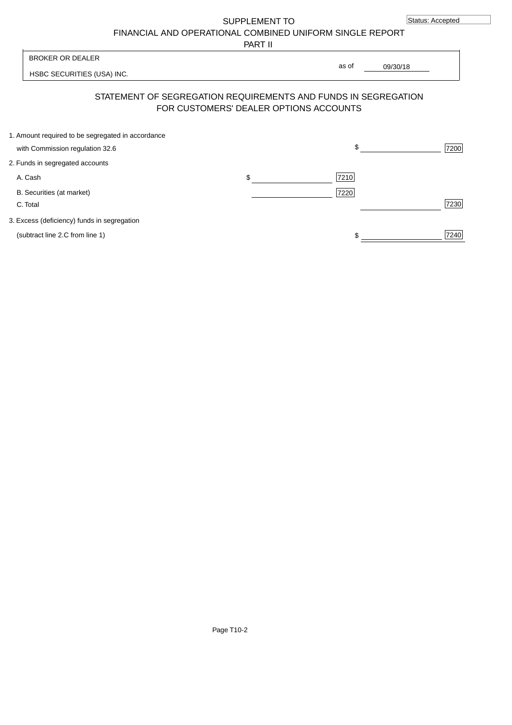SUPPLEMENT TO

FINANCIAL AND OPERATIONAL COMBINED UNIFORM SINGLE REPORT

PART II

HSBC SECURITIES (USA) INC. 09/30/18 BROKER OR DEALER as of

## STATEMENT OF SEGREGATION REQUIREMENTS AND FUNDS IN SEGREGATION FOR CUSTOMERS' DEALER OPTIONS ACCOUNTS

| 1. Amount required to be segregated in accordance |            |      |
|---------------------------------------------------|------------|------|
| with Commission regulation 32.6                   | \$.        | 7200 |
| 2. Funds in segregated accounts                   |            |      |
| A. Cash                                           | \$<br>7210 |      |
| B. Securities (at market)                         | 7220       |      |
| C. Total                                          |            | 7230 |
| 3. Excess (deficiency) funds in segregation       |            |      |
| (subtract line 2.C from line 1)                   |            | 7240 |
|                                                   |            |      |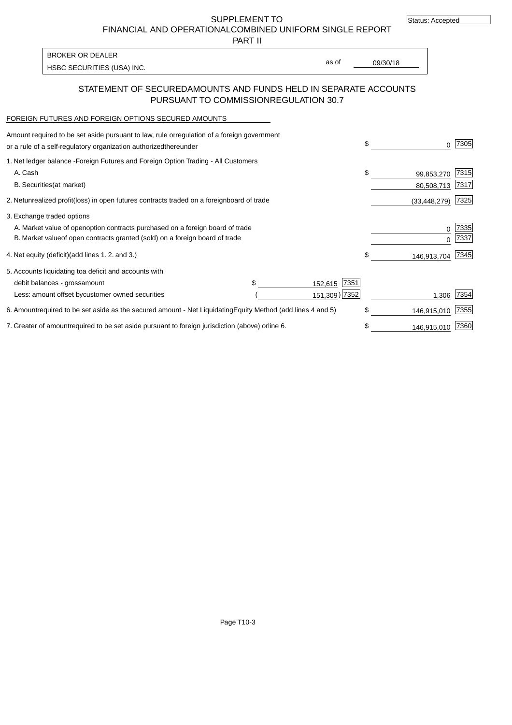SUPPLEMENT TO

FINANCIAL AND OPERATIONAL COMBINED UNIFORM SINGLE REPORT

PART II

HSBC SECURITIES (USA) INC. The second of the second of the second of the second of the second of the second of the second of the second of the second of the second of the second of the second of the second of the second of

BROKER OR DEALER

as of

## STATEMENT OF SECURED AMOUNTS AND FUNDS HELD IN SEPARATE ACCOUNTS PURSUANT TO COMMISSION REGULATION 30.7

#### FOREIGN FUTURES AND FOREIGN OPTIONS SECURED AMOUNTS

| Amount required to be set aside pursuant to law, rule or<br>regulation of a foreign government<br>or a rule of a self-regulatory organization authorized<br>thereunder |                                   |                 | \$                             | 7305          |
|------------------------------------------------------------------------------------------------------------------------------------------------------------------------|-----------------------------------|-----------------|--------------------------------|---------------|
| 1. Net ledger balance - Foreign Futures and Foreign Option Trading - All Customers<br>A. Cash<br><b>B.</b> Securities<br>(at market)                                   |                                   |                 | \$<br>99,853,270<br>80,508,713 | 7315<br> 7317 |
| unrealized profit (loss) in open futures contracts traded on a foreign board of trade<br>2. Net                                                                        |                                   |                 | (33, 448, 279)                 | 7325          |
| 3. Exchange traded options                                                                                                                                             |                                   |                 |                                |               |
| A. Market value of open option contracts purchased on a foreign board of trade<br>B. Market value of open contracts granted (sold) on a foreign board of trade         |                                   |                 | $\Omega$                       | 7335<br>7337  |
| 4. Net equity (deficit)<br>(add lines 1.2. and 3.)                                                                                                                     |                                   |                 | \$<br>146,913,704              | 7345          |
| 5. Accounts liquidating to a deficit and accounts with                                                                                                                 |                                   |                 |                                |               |
| debit balances - gross<br>amount                                                                                                                                       |                                   | 7351<br>152,615 |                                |               |
| Less: amount offset by<br>customer owned securities                                                                                                                    |                                   | 151,309) 7352   | 1,306                          | 7354          |
| 6. Amount required to be set aside as the secured amount - Net Liquidating                                                                                             | Equity Method (add lines 4 and 5) |                 | \$<br>146,915,010              | 7355          |
| 7. Greater of amount required to be set aside pursuant to foreign jurisdiction (above) or line 6.                                                                      |                                   |                 | 146,915,010                    | 7360          |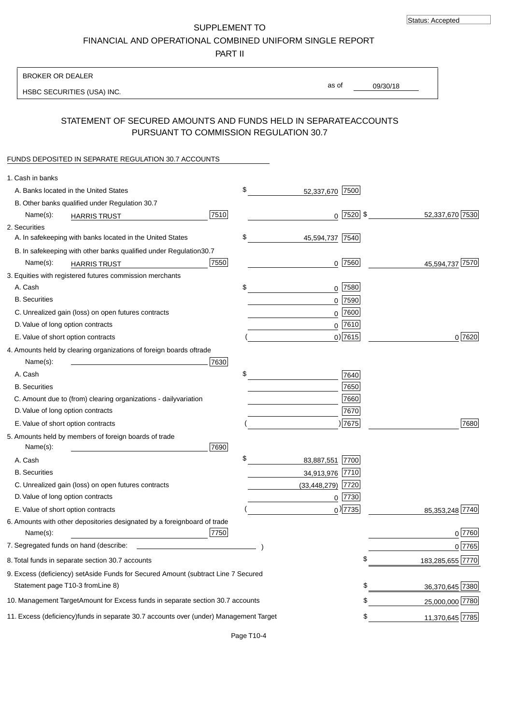SUPPLEMENT TO FINANCIAL AND OPERATIONAL COMBINED UNIFORM SINGLE REPORT

PART II

| <b>BROKER OR DEALER</b>                                                                           |                        |                 |                   |
|---------------------------------------------------------------------------------------------------|------------------------|-----------------|-------------------|
| HSBC SECURITIES (USA) INC.                                                                        | as of                  | 09/30/18        |                   |
|                                                                                                   |                        |                 |                   |
| STATEMENT OF SECURED AMOUNTS AND FUNDS HELD IN SEPARATE<br>PURSUANT TO COMMISSION REGULATION 30.7 |                        | <b>ACCOUNTS</b> |                   |
| FUNDS DEPOSITED IN SEPARATE REGULATION 30.7 ACCOUNTS                                              |                        |                 |                   |
| 1. Cash in banks                                                                                  |                        |                 |                   |
| A. Banks located in the United States                                                             | \$<br>52,337,670 7500  |                 |                   |
| B. Other banks qualified under Regulation 30.7                                                    |                        |                 |                   |
| 7510<br>Name(s):<br><b>HARRIS TRUST</b>                                                           | $0$ 7520 \$            |                 | 52,337,670 7530   |
| 2. Securities                                                                                     |                        |                 |                   |
| A. In safekeeping with banks located in the United States                                         | \$<br>45,594,737 7540  |                 |                   |
| 30.7<br>B. In safekeeping with other banks qualified under Regulation                             |                        |                 |                   |
| 7550<br>Name(s):<br><b>HARRIS TRUST</b>                                                           | $0$  7560              |                 | 45,594,737 7570   |
| 3. Equities with registered futures commission merchants                                          |                        |                 |                   |
| A. Cash                                                                                           | \$<br>$0$ 7580         |                 |                   |
| <b>B.</b> Securities                                                                              | 0 7590                 |                 |                   |
| C. Unrealized gain (loss) on open futures contracts                                               | $0$ 7600               |                 |                   |
| D. Value of long option contracts                                                                 | $0$ 7610               |                 |                   |
| E. Value of short option contracts                                                                | $0)$ 7615              |                 | 0 7620            |
| 4. Amounts held by clearing organizations of foreign boards of<br>trade                           |                        |                 |                   |
| Name(s):<br>7630                                                                                  |                        |                 |                   |
| A. Cash                                                                                           | \$<br>7640             |                 |                   |
| <b>B.</b> Securities                                                                              | 7650                   |                 |                   |
| C. Amount due to (from) clearing organizations - daily<br>variation                               | 7660                   |                 |                   |
| D. Value of long option contracts                                                                 | 7670                   |                 |                   |
| E. Value of short option contracts                                                                | )7675                  |                 | 7680              |
| 5. Amounts held by members of foreign boards of trade<br>Name(s):<br>7690                         |                        |                 |                   |
| A. Cash                                                                                           | \$<br>83,887,551 7700  |                 |                   |
| <b>B.</b> Securities                                                                              | 34,913,976 7710        |                 |                   |
| C. Unrealized gain (loss) on open futures contracts                                               | 7720<br>(33, 448, 279) |                 |                   |
| D. Value of long option contracts                                                                 | $0$  7730              |                 |                   |
| E. Value of short option contracts                                                                | $_0$ ) 7735            |                 | 85, 353, 248 7740 |
| 6. Amounts with other depositories designated by a foreign<br>board of trade<br>7750<br>Name(s):  |                        |                 | 0 7760            |
| 7. Segregated funds on hand (describe:                                                            |                        |                 | 0 7765            |
| 8. Total funds in separate section 30.7 accounts                                                  |                        | \$              | 183,285,655 7770  |
| 9. Excess (deficiency) set Aside Funds for Secured Amount (subtract Line 7 Secured                |                        |                 |                   |
| Statement page T10-3 from Line 8)                                                                 |                        | \$              | 36,370,645 7380   |
| 10. Management Target Amount for Excess funds in separate section 30.7 accounts                   |                        | \$              | 25,000,000 7780   |
| 11. Excess (deficiency) funds in separate 30.7 accounts over (under) Management Target            |                        | \$              | 11,370,645 7785   |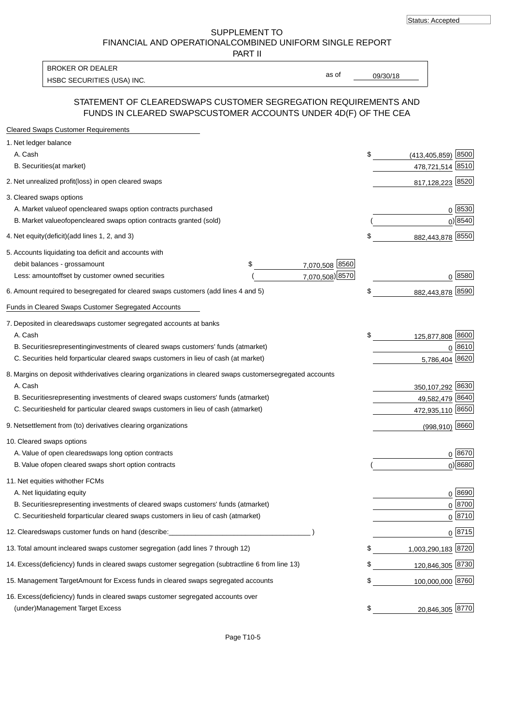SUPPLEMENT TO FINANCIAL AND OPERATIONAL COMBINED UNIFORM SINGLE REPORT

PART II

HSBC SECURITIES (USA) INC. The contract of the contract of the contract of the contract of the contract of the contract of the contract of the contract of the contract of the contract of the contract of the contract of the BROKER OR DEALER

as of

## STATEMENT OF CLEARED SWAPS CUSTOMER SEGREGATION REQUIREMENTS AND FUNDS IN CLEARED SWAPS CUSTOMER ACCOUNTS UNDER 4D(F) OF THE CEA

| <b>Cleared Swaps Customer Requirements</b>                                                                  |    |                         |
|-------------------------------------------------------------------------------------------------------------|----|-------------------------|
| 1. Net ledger balance                                                                                       |    |                         |
| A. Cash                                                                                                     | \$ | 8500<br>(413, 405, 859) |
| B. Securities (at market)                                                                                   |    | 478,721,514 8510        |
| 2. Net unrealized profit (loss) in open cleared swaps                                                       |    | 817,128,223 8520        |
| 3. Cleared swaps options                                                                                    |    |                         |
| A. Market value of open cleared swaps option contracts purchased                                            |    | 0   8530                |
| B. Market value of open cleared swaps option contracts granted (sold)                                       |    | $0)$ 8540               |
| 4. Net equity (deficit) (add lines 1, 2, and 3)                                                             | \$ | 882,443,878 8550        |
| 5. Accounts liquidating to a deficit and accounts with                                                      |    |                         |
| 7,070,508 8560<br>debit balances - gross<br>\$<br>amount                                                    |    |                         |
| 7,070,508) 8570<br>Less: amount offset by customer owned securities                                         |    | 0 8580                  |
| 6. Amount required to be segregated for cleared swaps customers (add lines 4 and 5)                         | \$ | 882,443,878 8590        |
| Funds in Cleared Swaps Customer Segregated Accounts                                                         |    |                         |
| 7. Deposited in cleared swaps customer segregated accounts at banks                                         |    |                         |
| A. Cash                                                                                                     | \$ | 125,877,808 8600        |
| B. Securities representing investments of cleared swaps customers' funds (at market)                        |    | 0 8610                  |
| C. Securities held for particular cleared swaps customers in lieu of cash (at market)                       |    | 8620<br>5,786,404       |
| 8. Margins on deposit with derivatives clearing organizations in cleared swaps customer segregated accounts |    |                         |
| A. Cash                                                                                                     |    | 350,107,292 8630        |
| representing investments of cleared swaps customers' funds (at market)<br><b>B.</b> Securities              |    | 49,582,479 8640         |
| C. Securities held for particular cleared swaps customers in lieu of cash (at market)                       |    | 472,935,110 8650        |
| 9. Net settlement from (to) derivatives clearing organizations                                              |    | $(998, 910)$ 8660       |
| 10. Cleared swaps options                                                                                   |    |                         |
| A. Value of open cleared swaps long option contracts                                                        |    | $0^{8670}$              |
| B. Value of open cleared swaps short option contracts                                                       |    | $0$ ) 8680              |
| 11. Net equities with other FCMs                                                                            |    |                         |
| A. Net liquidating equity                                                                                   |    | $0^{8690}$              |
| B. Securities representing investments of cleared swaps customers' funds (at market)                        |    | $0^{8700}$              |
| C. Securities held for particular cleared swaps customers in lieu of cash (at market)                       |    | 0 8710                  |
| 12. Cleared swaps customer funds on hand (describe:                                                         |    | $0 \;  8715 $           |
| 13. Total amount in cleared swaps customer segregation (add lines 7 through 12)                             | S  | 1,003,290,183 8720      |
| 14. Excess (deficiency) funds in cleared swaps customer segregation (subtract line 6 from line 13)          |    | 120,846,305 8730        |
| 15. Management Target Amount for Excess funds in cleared swaps segregated accounts                          | \$ | 100,000,000 8760        |
| 16. Excess<br>(deficiency) funds in cleared swaps customer segregated accounts over                         |    |                         |
| <b>Management Target Excess</b><br>(under)                                                                  | \$ | 20,846,305 8770         |